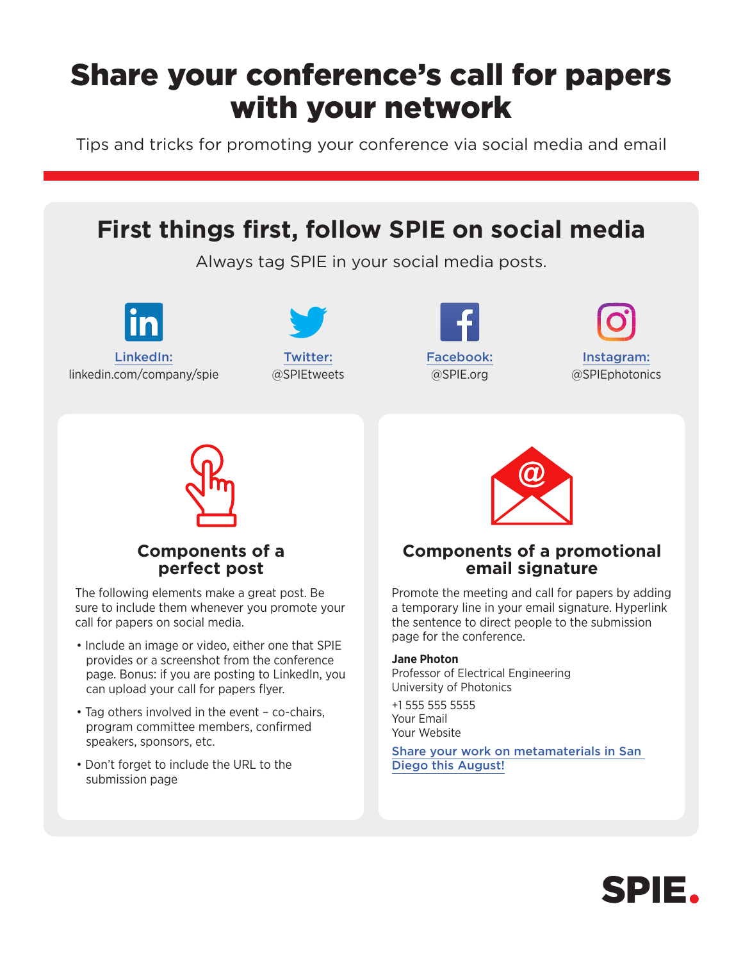## Share your conference's call for papers with your network

Tips and tricks for promoting your conference via social media and email



- Tag others involved in the event co-chairs, program committee members, confirmed speakers, sponsors, etc.
- Don't forget to include the URL to the submission page

Your Email Your Website

[Share your work on metamaterials in San](https://spie.org/?SSO=1)  [Diego this August!](https://spie.org/?SSO=1)